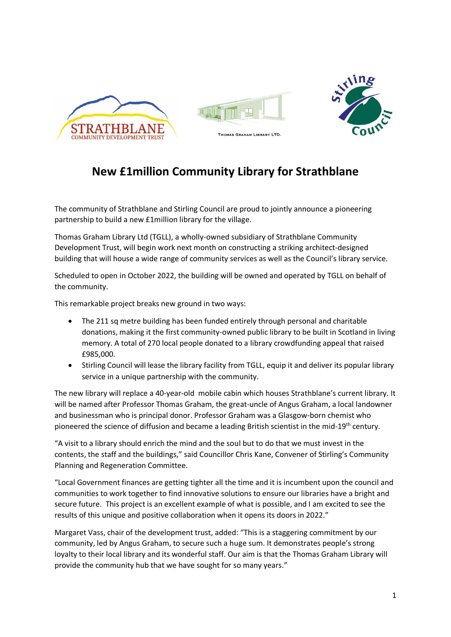

## **New £1million Community Library for Strathblane**

The community of Strathblane and Stirling Council are proud to jointly announce a pioneering partnership to build a new £1million library for the village.

Thomas Graham Library Ltd (TGLL), a wholly-owned subsidiary of Strathblane Community Development Trust, will begin work next month on constructing a striking architect-designed building that will house a wide range of community services as well as the Council's library service.

Scheduled to open in October 2022, the building will be owned and operated by TGLL on behalf of the community.

This remarkable project breaks new ground in two ways:

- The 211 sq metre building has been funded entirely through personal and charitable donations, making it the first community-owned public library to be built in Scotland in living memory. A total of 270 local people donated to a library crowdfunding appeal that raised £985,000.
- Stirling Council will lease the library facility from TGLL, equip it and deliver its popular library service in a unique partnership with the community.

The new library will replace a 40-year-old mobile cabin which houses Strathblane's current library. It will be named after Professor Thomas Graham, the great-uncle of Angus Graham, a local landowner and businessman who is principal donor. Professor Graham was a Glasgow-born chemist who pioneered the science of diffusion and became a leading British scientist in the mid-19<sup>th</sup> century.

"A visit to a library should enrich the mind and the soul but to do that we must invest in the contents, the staff and the buildings," said Councillor Chris Kane, Convener of Stirling's Community Planning and Regeneration Committee.

"Local Government finances are getting tighter all the time and it is incumbent upon the council and communities to work together to find innovative solutions to ensure our libraries have a bright and secure future. This project is an excellent example of what is possible, and I am excited to see the results of this unique and positive collaboration when it opens its doors in 2022."

Margaret Vass, chair of the development trust, added: "This is a staggering commitment by our community, led by Angus Graham, to secure such a huge sum. It demonstrates people's strong loyalty to their local library and its wonderful staff. Our aim is that the Thomas Graham Library will provide the community hub that we have sought for so many years."